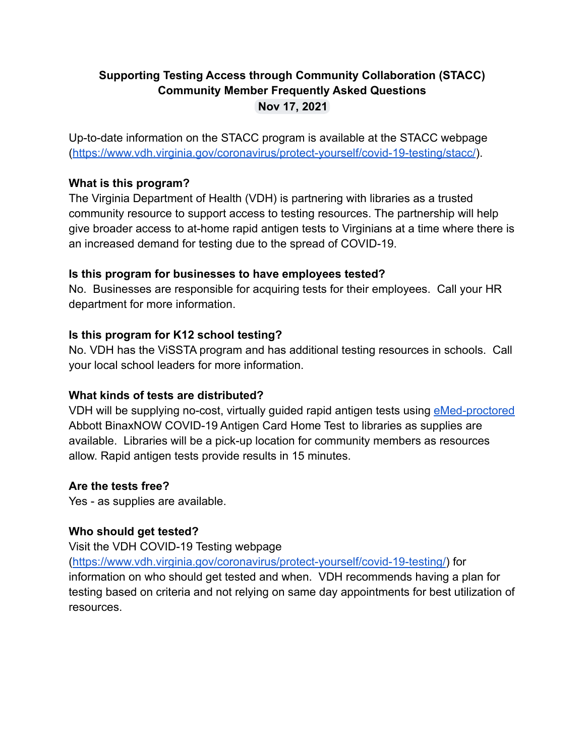# **Supporting Testing Access through Community Collaboration (STACC) Community Member Frequently Asked Questions Nov 17, 2021**

Up-to-date information on the STACC program is available at the STACC webpage (<https://www.vdh.virginia.gov/coronavirus/protect-yourself/covid-19-testing/stacc/>).

## **What is this program?**

The Virginia Department of Health (VDH) is partnering with libraries as a trusted community resource to support access to testing resources. The partnership will help give broader access to at-home rapid antigen tests to Virginians at a time where there is an increased demand for testing due to the spread of COVID-19.

## **Is this program for businesses to have employees tested?**

No. Businesses are responsible for acquiring tests for their employees. Call your HR department for more information.

## **Is this program for K12 school testing?**

No. VDH has the ViSSTA program and has additional testing resources in schools. Call your local school leaders for more information.

# **What kinds of tests are distributed?**

VDH will be supplying no-cost, virtually guided rapid antigen tests using [eMed-proctored](https://www.emed.com/about?hsLang=en) Abbott BinaxNOW COVID-19 Antigen Card Home Test to libraries as supplies are available. Libraries will be a pick-up location for community members as resources allow. Rapid antigen tests provide results in 15 minutes.

# **Are the tests free?**

Yes - as supplies are available.

# **Who should get tested?**

Visit the VDH COVID-19 Testing webpage

([https://www.vdh.virginia.gov/coronavirus/protect-yourself/covid-19-testing/\)](https://www.vdh.virginia.gov/coronavirus/protect-yourself/covid-19-testing/) for

information on who should get tested and when. VDH recommends having a plan for testing based on criteria and not relying on same day appointments for best utilization of resources.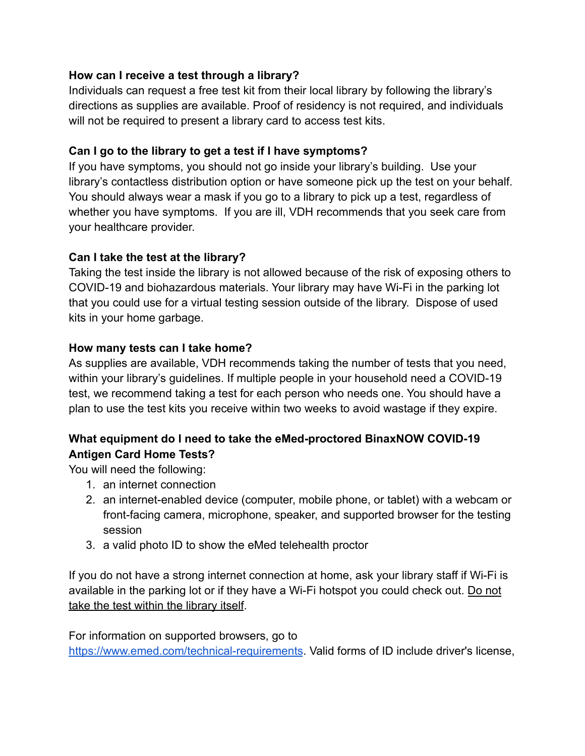## **How can I receive a test through a library?**

Individuals can request a free test kit from their local library by following the library's directions as supplies are available. Proof of residency is not required, and individuals will not be required to present a library card to access test kits.

## **Can I go to the library to get a test if I have symptoms?**

If you have symptoms, you should not go inside your library's building. Use your library's contactless distribution option or have someone pick up the test on your behalf. You should always wear a mask if you go to a library to pick up a test, regardless of whether you have symptoms. If you are ill, VDH recommends that you seek care from your healthcare provider.

## **Can I take the test at the library?**

Taking the test inside the library is not allowed because of the risk of exposing others to COVID-19 and biohazardous materials. Your library may have Wi-Fi in the parking lot that you could use for a virtual testing session outside of the library. Dispose of used kits in your home garbage.

## **How many tests can I take home?**

As supplies are available, VDH recommends taking the number of tests that you need, within your library's guidelines. If multiple people in your household need a COVID-19 test, we recommend taking a test for each person who needs one. You should have a plan to use the test kits you receive within two weeks to avoid wastage if they expire.

# **What equipment do I need to take the eMed-proctored BinaxNOW COVID-19 Antigen Card Home Tests?**

You will need the following:

- 1. an internet connection
- 2. an internet-enabled device (computer, mobile phone, or tablet) with a webcam or front-facing camera, microphone, speaker, and supported browser for the testing session
- 3. a valid photo ID to show the eMed telehealth proctor

If you do not have a strong internet connection at home, ask your library staff if Wi-Fi is available in the parking lot or if they have a Wi-Fi hotspot you could check out. Do not take the test within the library itself.

For information on supported browsers, go to

<https://www.emed.com/technical-requirements>. Valid forms of ID include driver's license,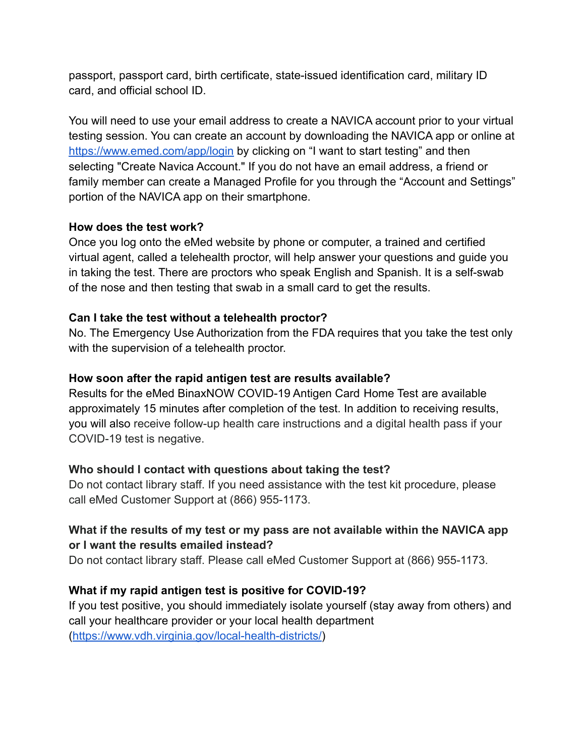passport, passport card, birth certificate, state-issued identification card, military ID card, and official school ID.

You will need to use your email address to create a NAVICA account prior to your virtual testing session. You can create an account by downloading the NAVICA app or online at <https://www.emed.com/app/login> by clicking on "I want to start testing" and then selecting "Create Navica Account." If you do not have an email address, a friend or family member can create a Managed Profile for you through the "Account and Settings" portion of the NAVICA app on their smartphone.

## **How does the test work?**

Once you log onto the eMed website by phone or computer, a trained and certified virtual agent, called a telehealth proctor, will help answer your questions and guide you in taking the test. There are proctors who speak English and Spanish. It is a self-swab of the nose and then testing that swab in a small card to get the results.

## **Can I take the test without a telehealth proctor?**

No. The Emergency Use Authorization from the FDA requires that you take the test only with the supervision of a telehealth proctor.

## **How soon after the rapid antigen test are results available?**

Results for the eMed BinaxNOW COVID-19 Antigen Card Home Test are available approximately 15 minutes after completion of the test. In addition to receiving results, you will also receive follow-up health care instructions and a digital health pass if your COVID-19 test is negative.

#### **Who should I contact with questions about taking the test?**

Do not contact library staff. If you need assistance with the test kit procedure, please call eMed Customer Support at (866) 955-1173.

# **What if the results of my test or my pass are not available within the NAVICA app or I want the results emailed instead?**

Do not contact library staff. Please call eMed Customer Support at (866) 955-1173.

## **What if my rapid antigen test is positive for COVID-19?**

If you test positive, you should immediately isolate yourself (stay away from others) and call your healthcare provider or your local health department ([https://www.vdh.virginia.gov/local-health-districts/\)](https://www.vdh.virginia.gov/local-health-districts/)